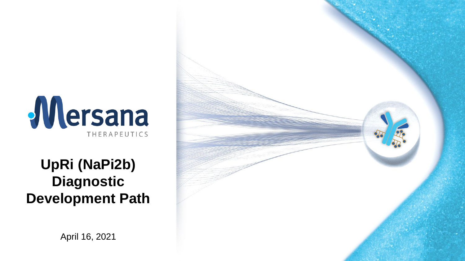

### **UpRi (NaPi2b) Diagnostic Development Path**



April 16, 2021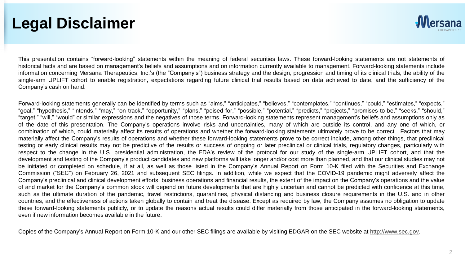#### **Legal Disclaimer**



This presentation contains "forward-looking" statements within the meaning of federal securities laws. These forward-looking statements are not statements of historical facts and are based on management's beliefs and assumptions and on information currently available to management. Forward-looking statements include information concerning Mersana Therapeutics, Inc.'s (the "Company's") business strategy and the design, progression and timing of its clinical trials, the ability of the single-arm UPLIFT cohort to enable registration, expectations regarding future clinical trial results based on data achieved to date, and the sufficiency of the Company's cash on hand.

Forward-looking statements generally can be identified by terms such as "aims," "anticipates," "believes," "contemplates," "continues," "could," "estimates," "expects," "goal," "hypothesis," "intends," "may," "on track," "opportunity," "plans," "poised for," "possible," "potential," "predicts," "projects," "promises to be," "seeks," "should," "target," "will," "would" or similar expressions and the negatives of those terms. Forward-looking statements represent management's beliefs and assumptions only as of the date of this presentation. The Company's operations involve risks and uncertainties, many of which are outside its control, and any one of which, or combination of which, could materially affect its results of operations and whether the forward-looking statements ultimately prove to be correct. Factors that may materially affect the Company's results of operations and whether these forward-looking statements prove to be correct include, among other things, that preclinical testing or early clinical results may not be predictive of the results or success of ongoing or later preclinical or clinical trials, regulatory changes, particularly with respect to the change in the U.S. presidential administration, the FDA's review of the protocol for our study of the single-arm UPLIFT cohort, and that the development and testing of the Company's product candidates and new platforms will take longer and/or cost more than planned, and that our clinical studies may not be initiated or completed on schedule, if at all, as well as those listed in the Company's Annual Report on Form 10-K filed with the Securities and Exchange Commission ("SEC") on February 26, 2021 and subsequent SEC filings. In addition, while we expect that the COVID-19 pandemic might adversely affect the Company's preclinical and clinical development efforts, business operations and financial results, the extent of the impact on the Company's operations and the value of and market for the Company's common stock will depend on future developments that are highly uncertain and cannot be predicted with confidence at this time, such as the ultimate duration of the pandemic, travel restrictions, quarantines, physical distancing and business closure requirements in the U.S. and in other countries, and the effectiveness of actions taken globally to contain and treat the disease. Except as required by law, the Company assumes no obligation to update these forward-looking statements publicly, or to update the reasons actual results could differ materially from those anticipated in the forward-looking statements, even if new information becomes available in the future.

Copies of the Company's Annual Report on Form 10-K and our other SEC filings are available by visiting EDGAR on the SEC website at [http://www.sec.gov.](http://www.sec.gov/)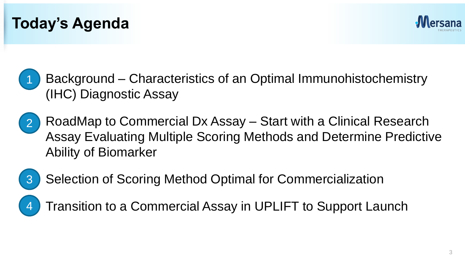





- RoadMap to Commercial Dx Assay Start with a Clinical Research Assay Evaluating Multiple Scoring Methods and Determine Predictive Ability of Biomarker 2
- 3

4

Selection of Scoring Method Optimal for Commercialization

• Transition to a Commercial Assay in UPLIFT to Support Launch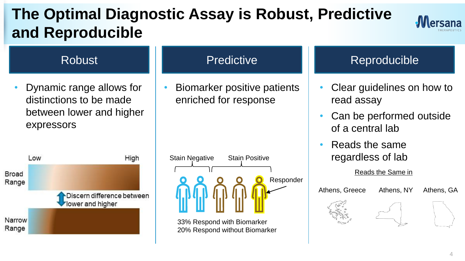## **The Optimal Diagnostic Assay is Robust, Predictive and Reproducible**



• Dynamic range allows for distinctions to be made between lower and higher expressors



#### **Predictive**

• Biomarker positive patients enriched for response

| <b>Stain Negative</b> | <b>Stain Positive</b> |           |
|-----------------------|-----------------------|-----------|
|                       |                       |           |
|                       |                       | Responder |

33% Respond with Biomarker 20% Respond without Biomarker

#### Robust **Network** Reproducible Reproducible

- Clear guidelines on how to read assay
- Can be performed outside of a central lab
- Reads the same regardless of lab

Athens, Greece

Reads the Same in

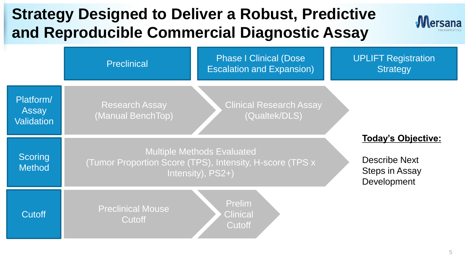### **Strategy Designed to Deliver a Robust, Predictive and Reproducible Commercial Diagnostic Assay**



|                                         | <b>Preclinical</b>                         | <b>Phase I Clinical (Dose</b><br><b>Escalation and Expansion)</b>                                                  |                                                                             | <b>UPLIFT Registration</b><br><b>Strategy</b> |  |
|-----------------------------------------|--------------------------------------------|--------------------------------------------------------------------------------------------------------------------|-----------------------------------------------------------------------------|-----------------------------------------------|--|
| Platform/<br>Assay<br><b>Validation</b> | <b>Research Assay</b><br>(Manual BenchTop) | <b>Clinical Research Assay</b><br>(Qualtek/DLS)                                                                    |                                                                             |                                               |  |
| Scoring<br><b>Method</b>                |                                            | <b>Multiple Methods Evaluated</b><br>(Tumor Proportion Score (TPS), Intensity, H-score (TPS x<br>Intensity), PS2+) | <b>Today's Objective:</b><br>Describe Next<br>Steps in Assay<br>Development |                                               |  |
| Cutoff                                  | <b>Preclinical Mouse</b><br>Cutoff         | Prelim<br><b>Clinical</b><br>Cutoff                                                                                |                                                                             |                                               |  |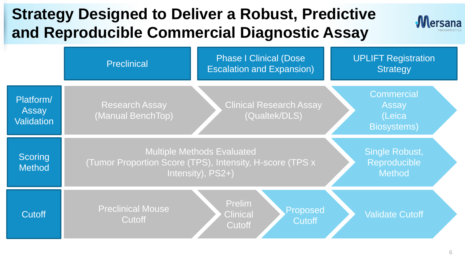### **Strategy Designed to Deliver a Robust, Predictive and Reproducible Commercial Diagnostic Assay**



|                                  | Preclinical                                                                                                        | <b>Phase I Clinical (Dose</b><br><b>Escalation and Expansion)</b> | <b>UPLIFT Registration</b><br><b>Strategy</b>               |
|----------------------------------|--------------------------------------------------------------------------------------------------------------------|-------------------------------------------------------------------|-------------------------------------------------------------|
| Platform/<br>Assay<br>Validation | <b>Research Assay</b><br>(Manual BenchTop)                                                                         | <b>Clinical Research Assay</b><br>(Qualtek/DLS)                   | <b>Commercial</b><br>Assay<br>(Leica<br><b>Biosystems</b> ) |
| Scoring<br><b>Method</b>         | <b>Multiple Methods Evaluated</b><br>(Tumor Proportion Score (TPS), Intensity, H-score (TPS x<br>Intensity), PS2+) |                                                                   | Single Robust,<br>Reproducible<br><b>Method</b>             |
| Cutoff                           | <b>Preclinical Mouse</b><br>Cutoff                                                                                 | Prelim<br>Proposed<br><b>Clinical</b><br><b>Cutoff</b><br>Cutoff  | <b>Validate Cutoff</b>                                      |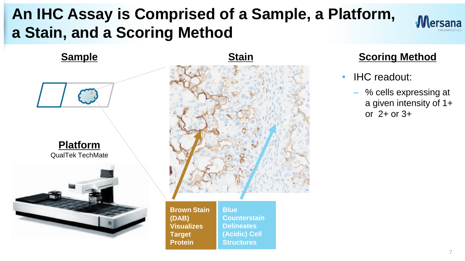## **An IHC Assay is Comprised of a Sample, a Platform, a Stain, and a Scoring Method**





- **IHC** readout:
	- % cells expressing at a given intensity of 1+ or 2+ or 3+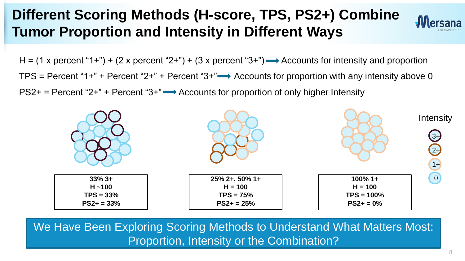#### **Different Scoring Methods (H-score, TPS, PS2+) Combine Tumor Proportion and Intensity in Different Ways**



 $H = (1 x$  percent "1+") + (2 x percent "2+") + (3 x percent "3+")  $\rightarrow$  Accounts for intensity and proportion TPS = Percent "1+" + Percent "2+" + Percent "3+" $\rightarrow$  Accounts for proportion with any intensity above 0  $PS2+$  = Percent "2+" + Percent "3+" $\longrightarrow$  Accounts for proportion of only higher Intensity



We Have Been Exploring Scoring Methods to Understand What Matters Most: Proportion, Intensity or the Combination?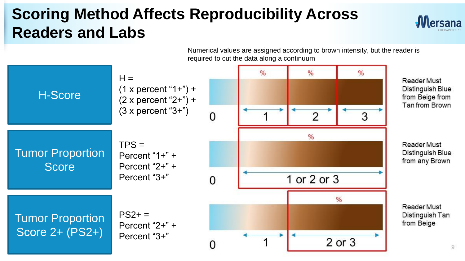### **Scoring Method Affects Reproducibility Across Readers and Labs**



Numerical values are assigned according to brown intensity, but the reader is required to cut the data along a continuum

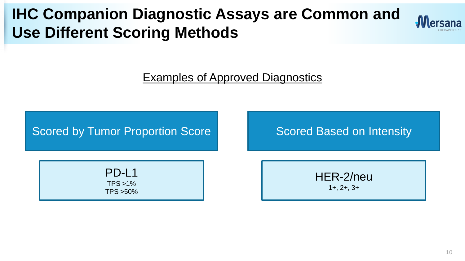### **IHC Companion Diagnostic Assays are Common and Use Different Scoring Methods**



Examples of Approved Diagnostics

#### Scored by Tumor Proportion Score Score Scored Based on Intensity

PD-L1 TPS >1% TPS >50%

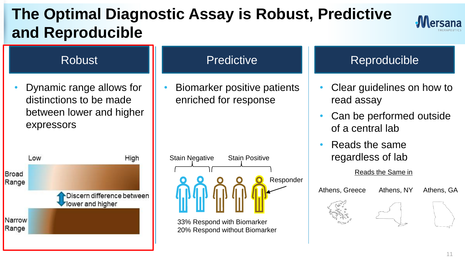## **The Optimal Diagnostic Assay is Robust, Predictive and Reproducible**



#### **Predictive** • Biomarker positive patients enriched for response Robust **I Reproducible** Reproducible • Dynamic range allows for distinctions to be made between lower and higher expressors



# Stain Negative Stain Positive **Regardless of lab** Responder

33% Respond with Biomarker 20% Respond without Biomarker

- Clear guidelines on how to read assay
- Can be performed outside of a central lab
- Reads the same

Reads the Same in

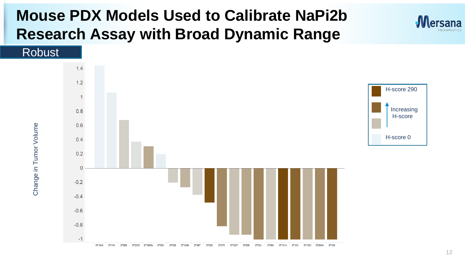### **Mouse PDX Models Used to Calibrate NaPi2b Research Assay with Broad Dynamic Range**



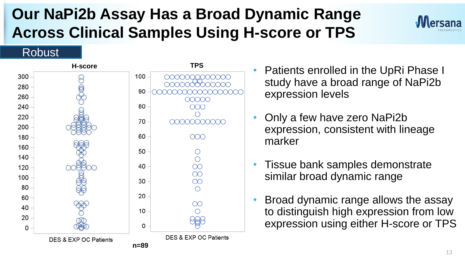## **Our NaPi2b Assay Has a Broad Dynamic Range Across Clinical Samples Using H-score or TPS**



#### Robust



- Patients enrolled in the UpRi Phase I study have a broad range of NaPi2b expression levels
- Only a few have zero NaPi2b expression, consistent with lineage marker
- Tissue bank samples demonstrate similar broad dynamic range
- Broad dynamic range allows the assay to distinguish high expression from low expression using either H-score or TPS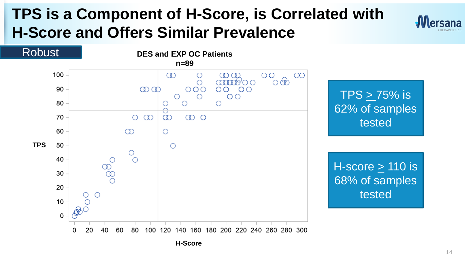### **TPS is a Component of H-Score, is Correlated with H-Score and Offers Similar Prevalence**





**H-Score**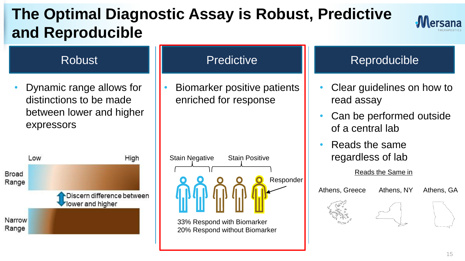## **The Optimal Diagnostic Assay is Robust, Predictive and Reproducible**



#### Robust **II** Predictive **II** Reproducible **Predictive** • Dynamic range allows for • Biomarker positive patients • Clear guidelines on how to distinctions to be made enriched for response read assay between lower and higher Can be performed outside expressors of a central lab • Reads the same Stain Negative Stain Positive **Regardless of lab** Low High Reads the Same in **Broad** Responder Range Athens, Greece Athens, NY Athens, GADiscern difference between lower and higher Narrow 33% Respond with Biomarker Range 20% Respond without Biomarker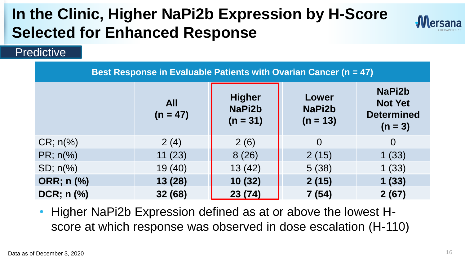## **In the Clinic, Higher NaPi2b Expression by H-Score Selected for Enhanced Response**



#### **Predictive**

|                  |                          |                                       | Best Response in Evaluable Patients with Ovarian Cancer (n = 47) |                                                            |
|------------------|--------------------------|---------------------------------------|------------------------------------------------------------------|------------------------------------------------------------|
|                  | <b>All</b><br>$(n = 47)$ | <b>Higher</b><br>NaPi2b<br>$(n = 31)$ | Lower<br>NaPi2b<br>$(n = 13)$                                    | NaPi2b<br><b>Not Yet</b><br><b>Determined</b><br>$(n = 3)$ |
| $CR; n\%$        | 2(4)                     | 2(6)                                  | $\overline{0}$                                                   | $\Omega$                                                   |
| $PR; n(\%)$      | 11(23)                   | 8(26)                                 | 2(15)                                                            | 1(33)                                                      |
| $SD; n(\%)$      | 19(40)                   | 13(42)                                | 5(38)                                                            | 1(33)                                                      |
| ORR; n (%)       | 13(28)                   | 10(32)                                | 2(15)                                                            | 1(33)                                                      |
| $DCR$ ; n $(\%)$ | 32 (68)                  | 23 (74)                               | 7(54)                                                            | 2(67)                                                      |

• Higher NaPi2b Expression defined as at or above the lowest Hscore at which response was observed in dose escalation (H-110)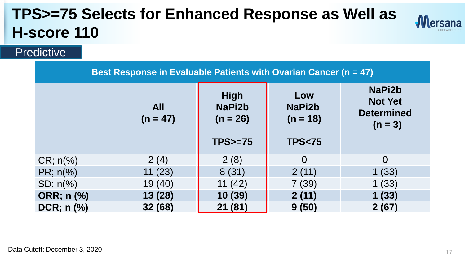## **TPS>=75 Selects for Enhanced Response as Well as H-score 110**



#### **Predictive**

| Best Response in Evaluable Patients with Ovarian Cancer (n = 47) |                          |                                     |                             |                                                            |
|------------------------------------------------------------------|--------------------------|-------------------------------------|-----------------------------|------------------------------------------------------------|
|                                                                  | <b>All</b><br>$(n = 47)$ | <b>High</b><br>NaPi2b<br>$(n = 26)$ | Low<br>NaPi2b<br>$(n = 18)$ | NaPi2b<br><b>Not Yet</b><br><b>Determined</b><br>$(n = 3)$ |
|                                                                  |                          | $TPS = 75$                          | <b>TPS&lt;75</b>            |                                                            |
| $CR; n\%$                                                        | 2(4)                     | 2(8)                                | $\Omega$                    | $\overline{0}$                                             |
| $PR; n(\%)$                                                      | 11(23)                   | 8(31)                               | 2(11)                       | 1(33)                                                      |
| $SD; n\frac{9}{6}$                                               | 19 (40)                  | 11(42)                              | 7(39)                       | 1(33)                                                      |
| ORR; n (%)                                                       | 13(28)                   | 10(39)                              | 2(11)                       | 1(33)                                                      |
| $DCR$ ; n $(\%)$                                                 | 32 (68)                  | 21 (81)                             | 9(50)                       | 2(67)                                                      |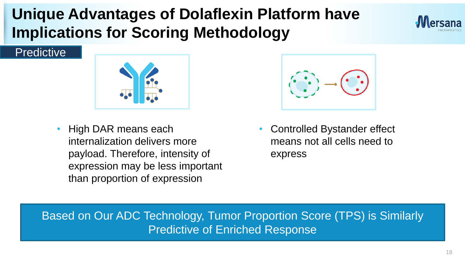### **Unique Advantages of Dolaflexin Platform have Implications for Scoring Methodology**



#### **Predictive**



• High DAR means each internalization delivers more payload. Therefore, intensity of expression may be less important than proportion of expression



• Controlled Bystander effect means not all cells need to express

Based on Our ADC Technology, Tumor Proportion Score (TPS) is Similarly Predictive of Enriched Response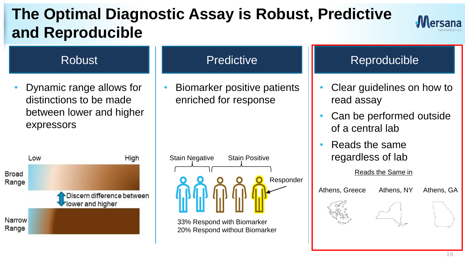## **The Optimal Diagnostic Assay is Robust, Predictive and Reproducible**





distinctions to be made between lower and higher expressors



#### **Predictive**

• Biomarker positive patients enriched for response

| <b>Stain Negative</b> | <b>Stain Positive</b> |           |
|-----------------------|-----------------------|-----------|
|                       |                       |           |
|                       |                       | Responder |
|                       |                       |           |

33% Respond with Biomarker 20% Respond without Biomarker

#### Robust **National Predictive Reproducible** Reproducible

- Clear guidelines on how to read assay
- Can be performed outside of a central lab
- Reads the same regardless of lab

Reads the Same in

Athens, Greece Athens, NY Athens, GA

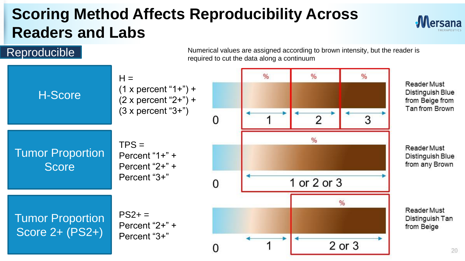## **Scoring Method Affects Reproducibility Across Readers and Labs**



20

Numerical values are assigned according to brown intensity, but the reader is **Reproducible**<br>Reproducible  $\overline{\phantom{a}}$  and  $\overline{\phantom{a}}$  all  $\overline{\phantom{a}}$  and  $\overline{\phantom{a}}$  are assigned according to cut the data along a continuum

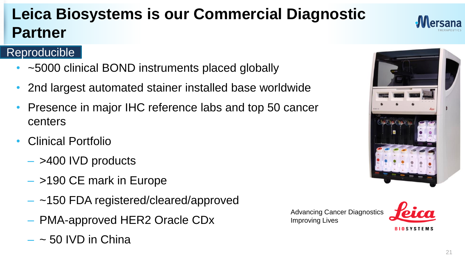## **Leica Biosystems is our Commercial Diagnostic Partner**

#### Reproducible

- ~5000 clinical BOND instruments placed globally
- 2nd largest automated stainer installed base worldwide
- Presence in major IHC reference labs and top 50 cancer centers
- Clinical Portfolio
	- $-$  >400 IVD products
	- >190 CE mark in Europe
	- ~150 FDA registered/cleared/approved
	- PMA-approved HER2 Oracle CDx
	- $-$  ~ 50 IVD in China

Advancing Cancer Diagnostics Improving Lives



**BIOSYSTEMS** 

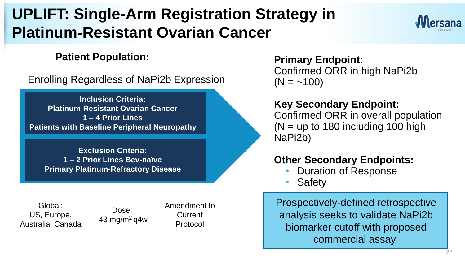## **UPLIFT: Single-Arm Registration Strategy in Platinum-Resistant Ovarian Cancer**

#### **Patient Population:**

Enrolling Regardless of NaPi2b Expression

**Inclusion Criteria: Platinum-Resistant Ovarian Cancer 1 – 4 Prior Lines Patients with Baseline Peripheral Neuropathy**

**Exclusion Criteria: 1 – 2 Prior Lines Bev-naïve Primary Platinum-Refractory Disease**

Global: US, Europe, Australia, Canada

Dose: 43 mg/m $^2$ g4w Amendment to Current Protocol

**Primary Endpoint:** Confirmed ORR in high NaPi2b  $(N = -100)$ 

#### **Key Secondary Endpoint:**

Confirmed ORR in overall population  $(N =$  up to 180 including 100 high NaPi2b)

#### **Other Secondary Endpoints:**

- Duration of Response
- **Safety**

Prospectively-defined retrospective analysis seeks to validate NaPi2b biomarker cutoff with proposed commercial assay

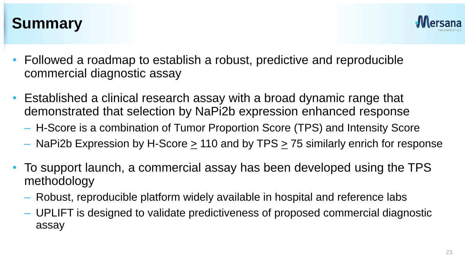

#### **Summary**

- Followed a roadmap to establish a robust, predictive and reproducible commercial diagnostic assay
- Established a clinical research assay with a broad dynamic range that demonstrated that selection by NaPi2b expression enhanced response
	- H-Score is a combination of Tumor Proportion Score (TPS) and Intensity Score
	- NaPi2b Expression by H-Score > 110 and by TPS > 75 similarly enrich for response
- To support launch, a commercial assay has been developed using the TPS methodology
	- Robust, reproducible platform widely available in hospital and reference labs
	- UPLIFT is designed to validate predictiveness of proposed commercial diagnostic assay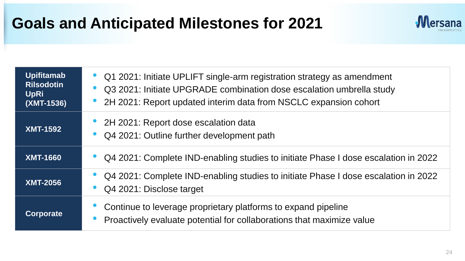### **Goals and Anticipated Milestones for 2021**



| <b>Upifitamab</b><br><b>Rilsodotin</b><br><b>UpRi</b><br>(XMT-1536) | Q1 2021: Initiate UPLIFT single-arm registration strategy as amendment<br>Q3 2021: Initiate UPGRADE combination dose escalation umbrella study<br>2H 2021: Report updated interim data from NSCLC expansion cohort |
|---------------------------------------------------------------------|--------------------------------------------------------------------------------------------------------------------------------------------------------------------------------------------------------------------|
| <b>XMT-1592</b>                                                     | 2H 2021: Report dose escalation data<br>Q4 2021: Outline further development path                                                                                                                                  |
| <b>XMT-1660</b>                                                     | Q4 2021: Complete IND-enabling studies to initiate Phase I dose escalation in 2022                                                                                                                                 |
| <b>XMT-2056</b>                                                     | Q4 2021: Complete IND-enabling studies to initiate Phase I dose escalation in 2022<br>Q4 2021: Disclose target                                                                                                     |
| <b>Corporate</b>                                                    | Continue to leverage proprietary platforms to expand pipeline<br>Proactively evaluate potential for collaborations that maximize value                                                                             |